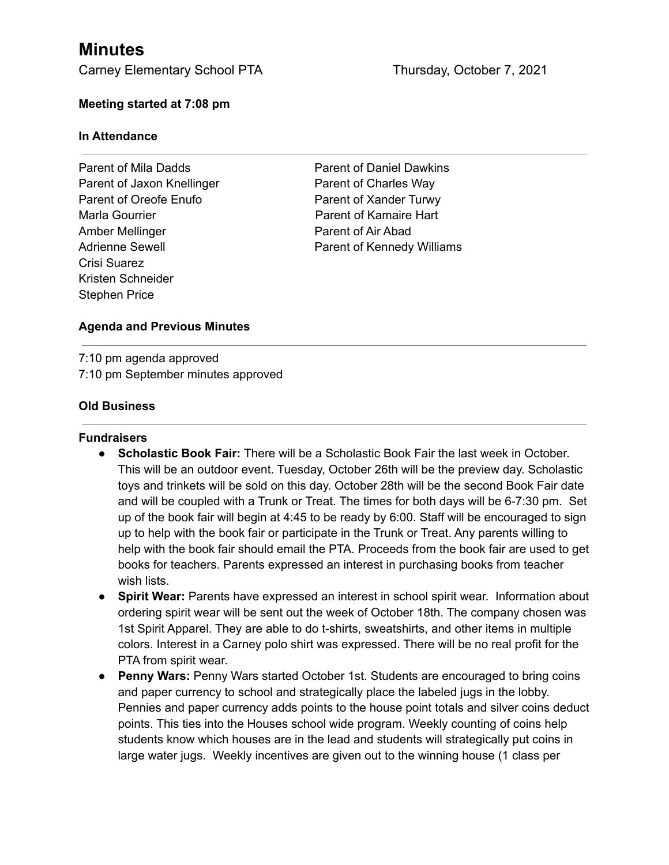# **Minutes**

Carney Elementary School PTA Thursday, October 7, 2021

### **Meeting started at 7:08 pm**

#### **In Attendance**

Parent of Mila Dadds **Parent of Daniel Dawkins** Parent of Jaxon Knellinger Parent of Charles Way Parent of Oreofe Enufo Parent of Xander Turwy Marla Gourrier **Parent of Kamaire Hart** Amber Mellinger **Parent of Air Abad** Crisi Suarez Kristen Schneider Stephen Price

Adrienne Sewell **Parent of Kennedy Williams** 

### **Agenda and Previous Minutes**

7:10 pm agenda approved 7:10 pm September minutes approved

### **Old Business**

#### **Fundraisers**

- **● Scholastic Book Fair:** There will be a Scholastic Book Fair the last week in October. This will be an outdoor event. Tuesday, October 26th will be the preview day. Scholastic toys and trinkets will be sold on this day. October 28th will be the second Book Fair date and will be coupled with a Trunk or Treat. The times for both days will be 6-7:30 pm. Set up of the book fair will begin at 4:45 to be ready by 6:00. Staff will be encouraged to sign up to help with the book fair or participate in the Trunk or Treat. Any parents willing to help with the book fair should email the PTA. Proceeds from the book fair are used to get books for teachers. Parents expressed an interest in purchasing books from teacher wish lists.
- **● Spirit Wear:** Parents have expressed an interest in school spirit wear. Information about ordering spirit wear will be sent out the week of October 18th. The company chosen was 1st Spirit Apparel. They are able to do t-shirts, sweatshirts, and other items in multiple colors. Interest in a Carney polo shirt was expressed. There will be no real profit for the PTA from spirit wear.
- **● Penny Wars:** Penny Wars started October 1st. Students are encouraged to bring coins and paper currency to school and strategically place the labeled jugs in the lobby. Pennies and paper currency adds points to the house point totals and silver coins deduct points. This ties into the Houses school wide program. Weekly counting of coins help students know which houses are in the lead and students will strategically put coins in large water jugs. Weekly incentives are given out to the winning house (1 class per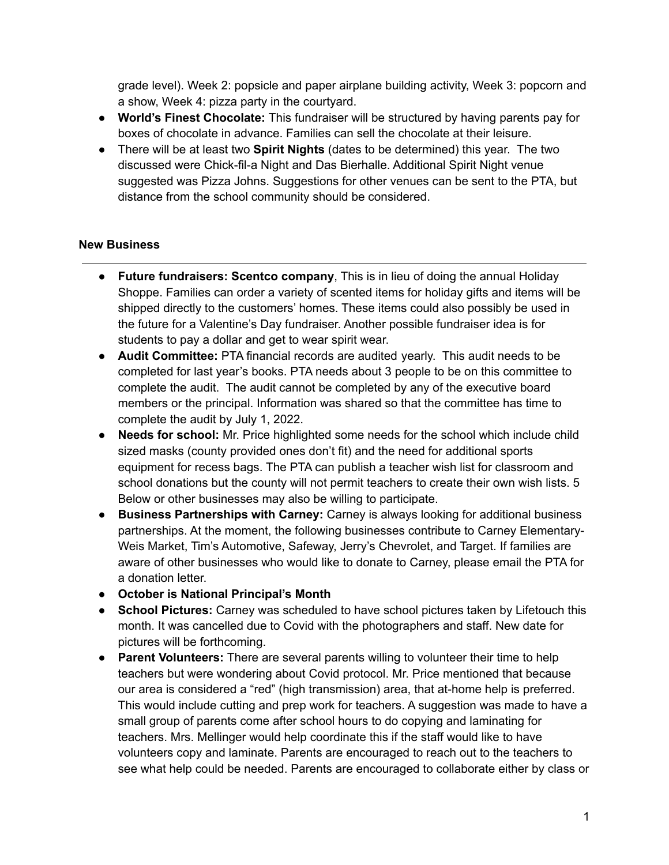grade level). Week 2: popsicle and paper airplane building activity, Week 3: popcorn and a show, Week 4: pizza party in the courtyard.

- **World's Finest Chocolate:** This fundraiser will be structured by having parents pay for boxes of chocolate in advance. Families can sell the chocolate at their leisure.
- **●** There will be at least two **Spirit Nights** (dates to be determined) this year. The two discussed were Chick-fil-a Night and Das Bierhalle. Additional Spirit Night venue suggested was Pizza Johns. Suggestions for other venues can be sent to the PTA, but distance from the school community should be considered.

## **New Business**

- **● Future fundraisers: Scentco company**, This is in lieu of doing the annual Holiday Shoppe. Families can order a variety of scented items for holiday gifts and items will be shipped directly to the customers' homes. These items could also possibly be used in the future for a Valentine's Day fundraiser. Another possible fundraiser idea is for students to pay a dollar and get to wear spirit wear.
- **● Audit Committee:** PTA financial records are audited yearly. This audit needs to be completed for last year's books. PTA needs about 3 people to be on this committee to complete the audit. The audit cannot be completed by any of the executive board members or the principal. Information was shared so that the committee has time to complete the audit by July 1, 2022.
- **● Needs for school:** Mr. Price highlighted some needs for the school which include child sized masks (county provided ones don't fit) and the need for additional sports equipment for recess bags. The PTA can publish a teacher wish list for classroom and school donations but the county will not permit teachers to create their own wish lists. 5 Below or other businesses may also be willing to participate.
- **● Business Partnerships with Carney:** Carney is always looking for additional business partnerships. At the moment, the following businesses contribute to Carney Elementary-Weis Market, Tim's Automotive, Safeway, Jerry's Chevrolet, and Target. If families are aware of other businesses who would like to donate to Carney, please email the PTA for a donation letter.
- **● October is National Principal's Month**
- **● School Pictures:** Carney was scheduled to have school pictures taken by Lifetouch this month. It was cancelled due to Covid with the photographers and staff. New date for pictures will be forthcoming.
- **● Parent Volunteers:** There are several parents willing to volunteer their time to help teachers but were wondering about Covid protocol. Mr. Price mentioned that because our area is considered a "red" (high transmission) area, that at-home help is preferred. This would include cutting and prep work for teachers. A suggestion was made to have a small group of parents come after school hours to do copying and laminating for teachers. Mrs. Mellinger would help coordinate this if the staff would like to have volunteers copy and laminate. Parents are encouraged to reach out to the teachers to see what help could be needed. Parents are encouraged to collaborate either by class or